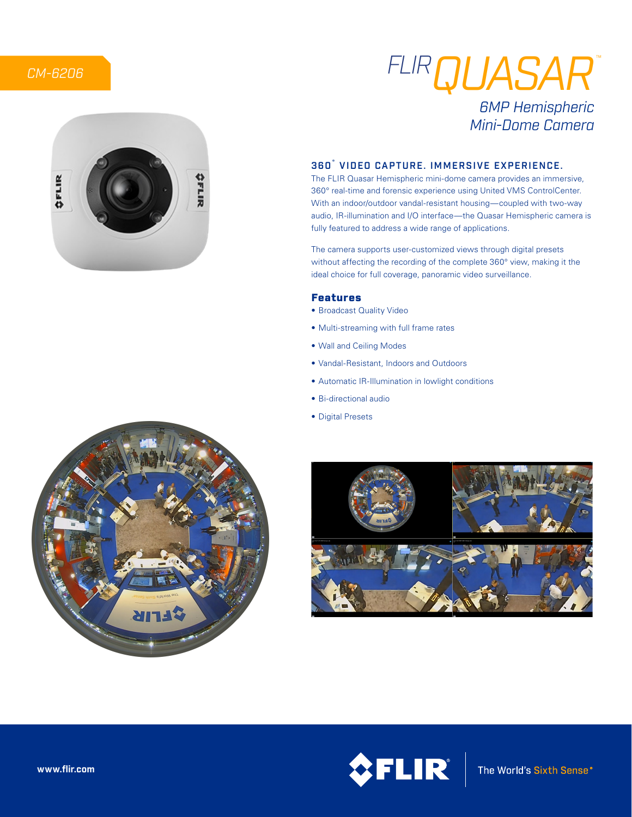# *CM-6206*





# *FLIRQUASAR* ™*6MP Hemispheric Mini-Dome Camera*

## 360˚ VIDEO CAPTURE. IMMERSIVE EXPERIENCE.

The FLIR Quasar Hemispheric mini-dome camera provides an immersive, 360° real-time and forensic experience using United VMS ControlCenter. With an indoor/outdoor vandal-resistant housing—coupled with two-way audio, IR-illumination and I/O interface—the Quasar Hemispheric camera is fully featured to address a wide range of applications.

The camera supports user-customized views through digital presets without affecting the recording of the complete 360° view, making it the ideal choice for full coverage, panoramic video surveillance.

## Features

- Broadcast Quality Video
- Multi-streaming with full frame rates
- Wall and Ceiling Modes
- Vandal-Resistant, Indoors and Outdoors
- Automatic IR-Illumination in lowlight conditions
- Bi-directional audio
- Digital Presets